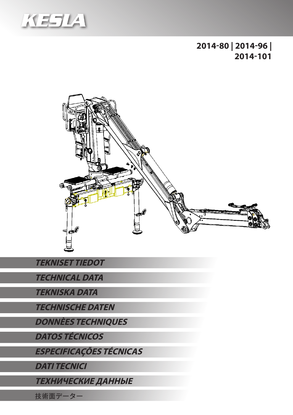

**2014-80 | 2014-96 | 2014-101**



**TEKNISET TIEDOT**

**TECHNICAL DATA**

**TEKNISKA DATA**

**TECHNISCHE DATEN**

**DONNÈES TECHNIQUES**

**DATOS TÉCNICOS**

**ESPECIFICAÇÕES TÉCNICAS**

**DATI TECNICI**

**ТЕХНИЧЕСКИЕ ДАННЫЕ**

技術面データー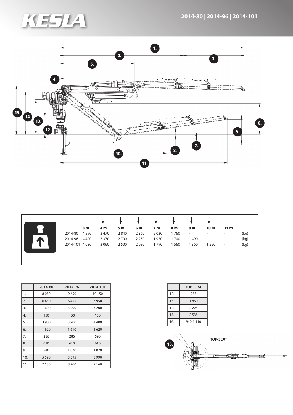



|                | 3 m     | 4 m     | 5 m     | 6 m     | 7 m  | 8 m  | 9 <sub>m</sub>           | 10 <sub>m</sub>          | 11 <sub>m</sub> |      |
|----------------|---------|---------|---------|---------|------|------|--------------------------|--------------------------|-----------------|------|
| 2014-80        | 4590    | 3470    | 2840    | 2 3 6 0 | 2030 | 1760 | $\overline{\phantom{a}}$ | $\overline{\phantom{a}}$ |                 | (kg) |
| 2014-96        | 4 4 0 0 | 3 3 7 0 | 2700    | 2 2 5 0 | 1950 | 1700 | 1490                     | $\overline{\phantom{a}}$ |                 | (kg) |
| 2014-101 4 080 |         | 3 0 6 0 | 2 5 0 0 | 2080    | 1790 | 560  | 1 3 6 0                  | 1 2 2 0                  | -               | (kg) |

|     | 2014-80      | 2014-96 | 2014-101 |  |
|-----|--------------|---------|----------|--|
| 1.  | 8050         | 9650    | 10 150   |  |
| 2.  | 6450<br>6455 |         | 6950     |  |
| 3.  | 1600         | 3 2 0 0 | 3 200    |  |
| 4.  | 150          | 150     | 150      |  |
| 5.  | 3 9 0 0      | 3 9 0 0 | 4400     |  |
| 6.  | 1620         | 1610    | 1620     |  |
| 7.  | 286          | 286     | 590      |  |
| 8.  | 610          | 610     | 610      |  |
| 9.  | 840          | 1070    | 1070     |  |
| 10. | 5 5 9 0      | 5 5 9 5 | 5 9 9 0  |  |
| 11. | 7180         | 8760    | 9 1 6 0  |  |

|     | <b>TOP-SEAT</b> |
|-----|-----------------|
| 12. | 953             |
| 13. | 1850            |
| 14. | 2 2 2 5         |
| 15. | 2535            |
| 16. | 940-1110        |

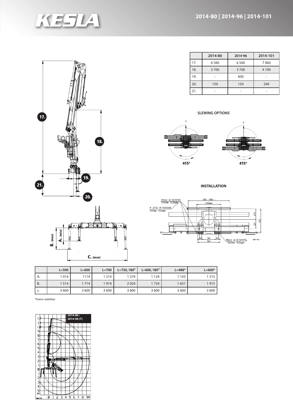

|                                          | ō<br>C<br>ъ.<br>$\frac{1}{2}$ |
|------------------------------------------|-------------------------------|
| 17.                                      | 18.                           |
| $\boxed{21}$<br>$\overline{\phantom{a}}$ | 19.<br>20.                    |

| $B.$ (max) | $\widehat{\mathsf{min}}$<br>ď |            |  |
|------------|-------------------------------|------------|--|
|            |                               | $C.$ (max) |  |

|     | 2014-80 | 2014-96 | 2014-101 |
|-----|---------|---------|----------|
| 17. | 6 5 6 0 | 6560    | 7060     |
| 18. | 3700    | 3700    | 4 1 9 0  |
| 19. |         | 600     |          |
| 20. | 150     | 150     | 240      |
| 21. |         |         |          |

## **SLEWING OPTIONS**



**INSTALLATION**



|           | $L = 500$ | $L = 600$ | $L = 700$ | $L = 750.180^{\circ}$ | $L = 600, 180^{\circ}$ | $L = 488*$ | $L = 600*$ |
|-----------|-----------|-----------|-----------|-----------------------|------------------------|------------|------------|
| А.        | 1014      | 1114      | 1 2 1 4   | '274                  | 1 1 2 4                | 1 1 4 3    | 1315       |
| <b>B.</b> | 1514      | 1714      | 1914      | 2024                  | 1724                   | 1631       | 1915       |
| C.        | 3 600     | 3 600     | 3 600     | 3 600                 | 3 600                  | 3 600      | 3 600      |

\*frame-stabilizer